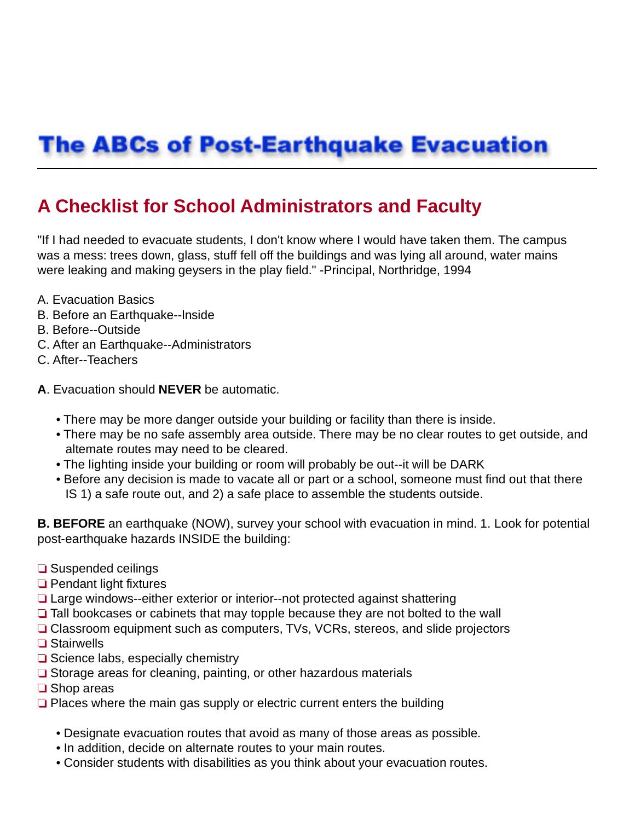# **The ABCs of Post-Earthquake Evacuation**

# **A Checklist for School Administrators and Faculty**

"If I had needed to evacuate students, I don't know where I would have taken them. The campus was a mess: trees down, glass, stuff fell off the buildings and was lying all around, water mains were leaking and making geysers in the play field." -Principal, Northridge, 1994

- A. Evacuation Basics
- B. Before an Earthquake--lnside
- B. Before--Outside
- C. After an Earthquake--Administrators
- C. After--Teachers

#### **A**. Evacuation should **NEVER** be automatic.

- There may be more danger outside your building or facility than there is inside.
- There may be no safe assembly area outside. There may be no clear routes to get outside, and altemate routes may need to be cleared.
- The lighting inside your building or room will probably be out--it will be DARK
- Before any decision is made to vacate all or part or a school, someone must find out that there IS 1) a safe route out, and 2) a safe place to assemble the students outside.

**B. BEFORE** an earthquake (NOW), survey your school with evacuation in mind. 1. Look for potential post-earthquake hazards INSIDE the building:

- **□** Suspended ceilings
- $\Box$  Pendant light fixtures
- □ Large windows--either exterior or interior--not protected against shattering
- $\Box$  Tall bookcases or cabinets that may topple because they are not bolted to the wall
- **□ Classroom equipment such as computers, TVs, VCRs, stereos, and slide projectors**
- **□ Stairwells**
- $\Box$  Science labs, especially chemistry
- $\Box$  Storage areas for cleaning, painting, or other hazardous materials
- **□** Shop areas
- $\Box$  Places where the main gas supply or electric current enters the building
	- Designate evacuation routes that avoid as many of those areas as possible.
	- In addition, decide on alternate routes to your main routes.
	- Consider students with disabilities as you think about your evacuation routes.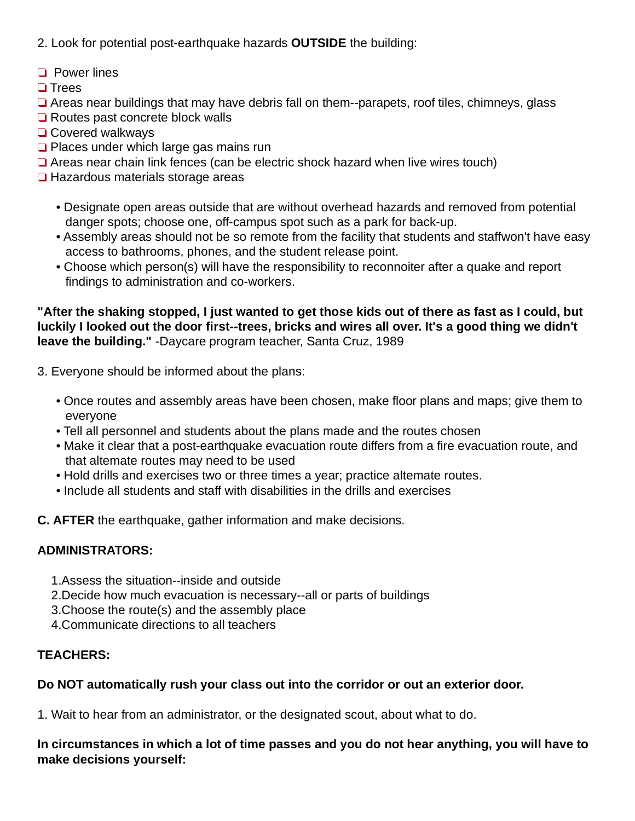- 2. Look for potential post-earthquake hazards **OUTSIDE** the building:
- **D** Power lines
- **□ Trees**
- $\Box$  Areas near buildings that may have debris fall on them--parapets, roof tiles, chimneys, glass
- **□** Routes past concrete block walls
- **□ Covered walkways**
- $\Box$  Places under which large gas mains run
- $\Box$  Areas near chain link fences (can be electric shock hazard when live wires touch)
- **Hazardous materials storage areas** 
	- Designate open areas outside that are without overhead hazards and removed from potential danger spots; choose one, off-campus spot such as a park for back-up.
	- Assembly areas should not be so remote from the facility that students and staffwon't have easy access to bathrooms, phones, and the student release point.
	- Choose which person(s) will have the responsibility to reconnoiter after a quake and report findings to administration and co-workers.

**"After the shaking stopped, I just wanted to get those kids out of there as fast as I could, but luckily I looked out the door first--trees, bricks and wires all over. It's a good thing we didn't leave the building."** -Daycare program teacher, Santa Cruz, 1989

3. Everyone should be informed about the plans:

- Once routes and assembly areas have been chosen, make floor plans and maps; give them to everyone
- Tell all personnel and students about the plans made and the routes chosen
- Make it clear that a post-earthquake evacuation route differs from a fire evacuation route, and that altemate routes may need to be used
- Hold drills and exercises two or three times a year; practice altemate routes.
- Include all students and staff with disabilities in the drills and exercises

**C. AFTER** the earthquake, gather information and make decisions.

## **ADMINISTRATORS:**

- 1.Assess the situation--inside and outside
- 2.Decide how much evacuation is necessary--all or parts of buildings
- 3.Choose the route(s) and the assembly place
- 4.Communicate directions to all teachers

## **TEACHERS:**

## **Do NOT automatically rush your class out into the corridor or out an exterior door.**

1. Wait to hear from an administrator, or the designated scout, about what to do.

**In circumstances in which a lot of time passes and you do not hear anything, you will have to make decisions yourself:**